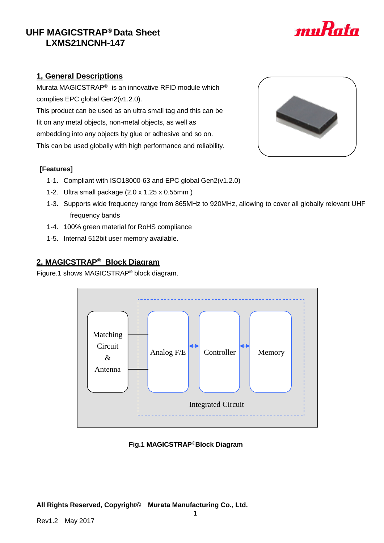

# **1, General Descriptions**

Murata MAGICSTRAP® is an innovative RFID module which complies EPC global Gen2(v1.2.0). This product can be used as an ultra small tag and this can be fit on any metal objects, non-metal objects, as well as embedding into any objects by glue or adhesive and so on. This can be used globally with high performance and reliability.



### **[Features]**

- 1-1. Compliant with ISO18000-63 and EPC global Gen2(v1.2.0)
- 1-2. Ultra small package (2.0 x 1.25 x 0.55mm )
- 1-3. Supports wide frequency range from 865MHz to 920MHz, allowing to cover all globally relevant UHF frequency bands
- 1-4. 100% green material for RoHS compliance
- 1-5. Internal 512bit user memory available.

# **2, MAGICSTRAP® Block Diagram**

Figure.1 shows MAGICSTRAP® block diagram.



### **Fig.1 MAGICSTRAP®Block Diagram**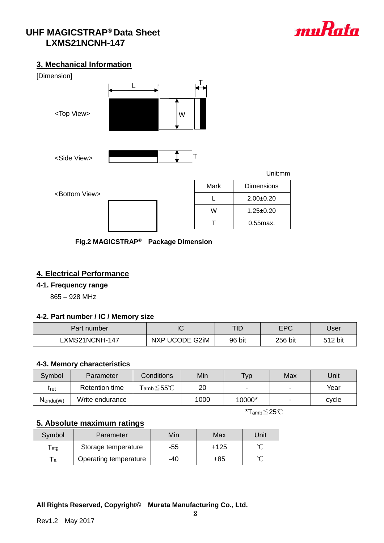

# **3, Mechanical Information**



**Fig.2 MAGICSTRAP® Package Dimension**

### **4. Electrical Performance**

#### **4-1. Frequency range**

865 – 928 MHz

#### **4-2. Part number / IC / Memory size**

| Part number    | $\sim$<br>טו   | TID    | <b>EPC</b> | Jser    |
|----------------|----------------|--------|------------|---------|
| LXMS21NCNH-147 | NXP UCODE G2iM | 96 bit | 256 bit    | 512 bit |

#### **4-3. Memory characteristics**

| Symbol        | Parameter       | Conditions                                         | Min  | Тур    | Max | Unit  |
|---------------|-----------------|----------------------------------------------------|------|--------|-----|-------|
| Tret          | Retention time  | $\mathsf{T}_{\mathsf{amb}}{\le}55^\circ\mathrm{C}$ | 20   | -      |     | Year  |
| $N_{endu(W)}$ | Write endurance |                                                    | 1000 | 10000* |     | cycle |

\*Tamb≦25℃

### **5. Absolute maximum ratings**

| Symbol                      | Parameter             | Min | Max    | Jnit |
|-----------------------------|-----------------------|-----|--------|------|
| $\mathsf{F}_{\mathsf{stg}}$ | Storage temperature   | -55 | $+125$ |      |
| l a                         | Operating temperature | -40 | +85    |      |

### **All Rights Reserved, Copyright© Murata Manufacturing Co., Ltd.**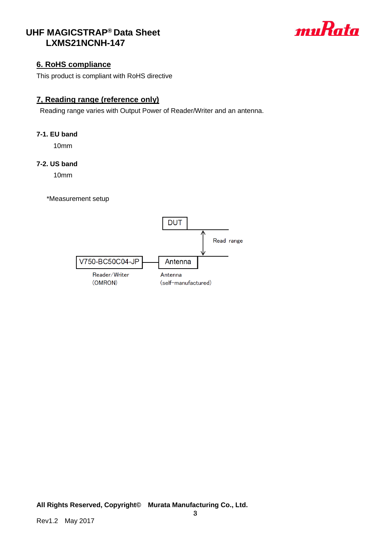

## **6. RoHS compliance**

This product is compliant with RoHS directive

## **7, Reading range (reference only)**

Reading range varies with Output Power of Reader/Writer and an antenna.

#### **7-1. EU band**

10mm

#### **7-2. US band**

10mm

\*Measurement setup

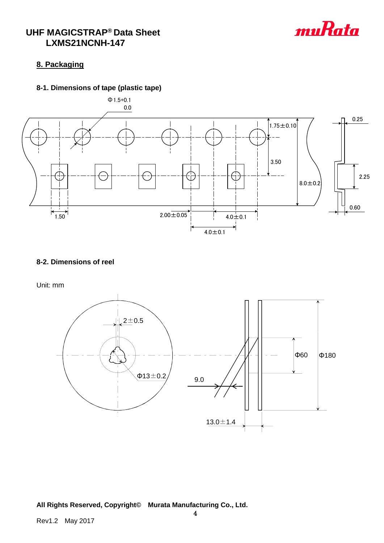

# **8. Packaging**

## **8-1. Dimensions of tape (plastic tape)**



### **8-2. Dimensions of reel**

Unit: mm



**All Rights Reserved, Copyright© Murata Manufacturing Co., Ltd.**

Rev1.2 May 2017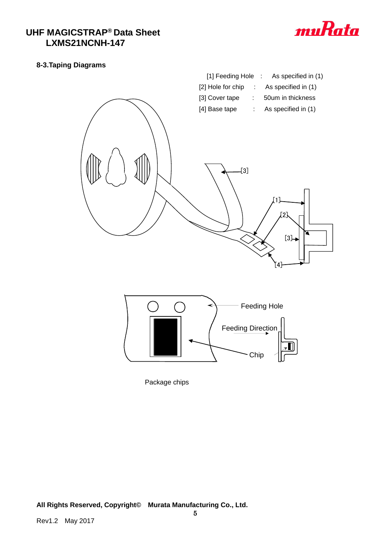

### **8-3.Taping Diagrams**



Package chips

**All Rights Reserved, Copyright© Murata Manufacturing Co., Ltd.**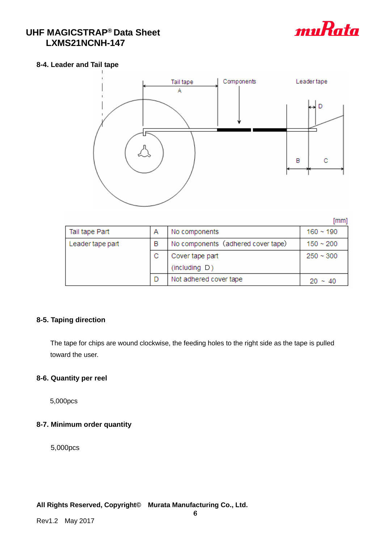

#### **8-4. Leader and Tail tape**



[mm]

| Tail tape Part   | А | No components                      | $160 - 190$  |
|------------------|---|------------------------------------|--------------|
| Leader tape part | в | No components (adhered cover tape) | $150 - 200$  |
|                  | С | Cover tape part                    | $250 - 300$  |
|                  |   | (including D)                      |              |
|                  | D | Not adhered cover tape             | $20 \sim 40$ |

#### **8-5. Taping direction**

The tape for chips are wound clockwise, the feeding holes to the right side as the tape is pulled toward the user.

#### **8-6. Quantity per reel**

5,000pcs

### **8-7. Minimum order quantity**

5,000pcs

**All Rights Reserved, Copyright© Murata Manufacturing Co., Ltd.**

6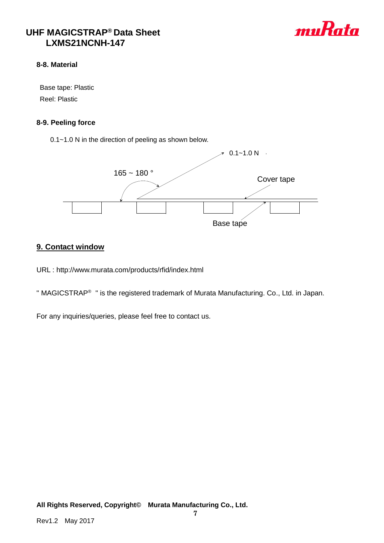

#### **8-8. Material**

Base tape: Plastic Reel: Plastic

#### **8-9. Peeling force**

0.1~1.0 N in the direction of peeling as shown below.



## **9. Contact window**

URL : http://www.murata.com/products/rfid/index.html

" MAGICSTRAP<sup>®</sup> " is the registered trademark of Murata Manufacturing. Co., Ltd. in Japan.

For any inquiries/queries, please feel free to contact us.

**All Rights Reserved, Copyright© Murata Manufacturing Co., Ltd.**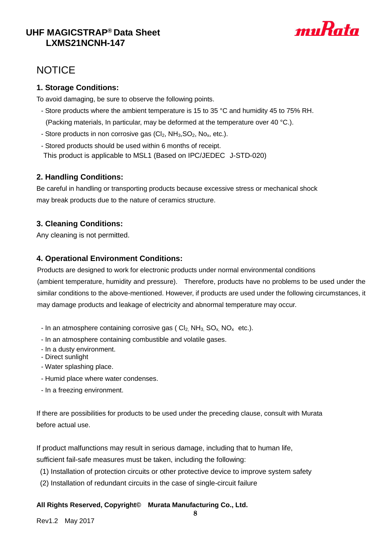

# **NOTICE**

# **1. Storage Conditions:**

To avoid damaging, be sure to observe the following points.

- Store products where the ambient temperature is 15 to 35 °C and humidity 45 to 75% RH. (Packing materials, In particular, may be deformed at the temperature over 40 °C.).
- Store products in non corrosive gas  $(Cl<sub>2</sub>, NH<sub>3</sub>,SO<sub>2</sub>, No<sub>x</sub>, etc.).$

- Stored products should be used within 6 months of receipt.

This product is applicable to MSL1 (Based on IPC/JEDEC J-STD-020)

## **2. Handling Conditions:**

Be careful in handling or transporting products because excessive stress or mechanical shock may break products due to the nature of ceramics structure.

# **3. Cleaning Conditions:**

Any cleaning is not permitted.

## **4. Operational Environment Conditions:**

Products are designed to work for electronic products under normal environmental conditions (ambient temperature, humidity and pressure). Therefore, products have no problems to be used under the similar conditions to the above-mentioned. However, if products are used under the following circumstances, it may damage products and leakage of electricity and abnormal temperature may occur.

- In an atmosphere containing corrosive gas ( $Cl<sub>2</sub> NH<sub>3</sub> SO<sub>x</sub> NO<sub>x</sub> etc.).$
- In an atmosphere containing combustible and volatile gases.
- In a dusty environment.
- Direct sunlight
- Water splashing place.
- Humid place where water condenses.
- In a freezing environment.

If there are possibilities for products to be used under the preceding clause, consult with Murata before actual use.

If product malfunctions may result in serious damage, including that to human life, sufficient fail-safe measures must be taken, including the following:

(1) Installation of protection circuits or other protective device to improve system safety

8

(2) Installation of redundant circuits in the case of single-circuit failure

### **All Rights Reserved, Copyright© Murata Manufacturing Co., Ltd.**

Rev1.2 May 2017